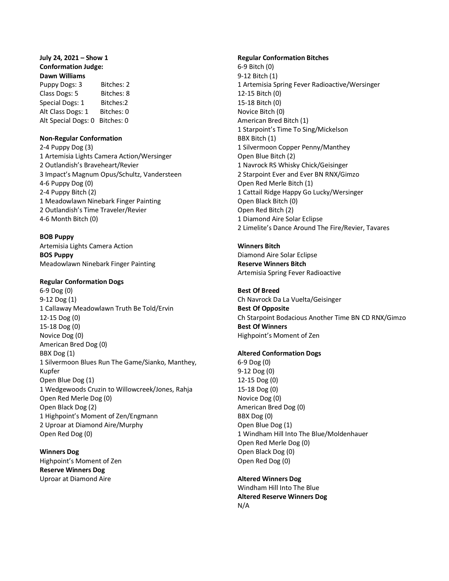# **July 24, 2021 – Show 1 Conformation Judge: Dawn Williams**

Puppy Dogs: 3 Bitches: 2 Class Dogs: 5 Bitches: 8 Special Dogs: 1 Bitches: 2 Alt Class Dogs: 1 Bitches: 0 Alt Special Dogs: 0 Bitches: 0

## **Non-Regular Conformation**

2-4 Puppy Dog (3) 1 Artemisia Lights Camera Action/Wersinger 2 Outlandish's Braveheart/Revier 3 Impact's Magnum Opus/Schultz, Vandersteen 4-6 Puppy Dog (0) 2-4 Puppy Bitch (2) 1 Meadowlawn Ninebark Finger Painting 2 Outlandish's Time Traveler/Revier 4-6 Month Bitch (0)

## **BOB Puppy**

Artemisia Lights Camera Action **BOS Puppy** Meadowlawn Ninebark Finger Painting

## **Regular Conformation Dogs**

6-9 Dog (0) 9-12 Dog (1) 1 Callaway Meadowlawn Truth Be Told/Ervin 12-15 Dog (0) 15-18 Dog (0) Novice Dog (0) American Bred Dog (0) BBX Dog (1) 1 Silvermoon Blues Run The Game/Sianko, Manthey, Kupfer Open Blue Dog (1) 1 Wedgewoods Cruzin to Willowcreek/Jones, Rahja Open Red Merle Dog (0) Open Black Dog (2) 1 Highpoint's Moment of Zen/Engmann 2 Uproar at Diamond Aire/Murphy Open Red Dog (0)

**Winners Dog** Highpoint's Moment of Zen **Reserve Winners Dog** Uproar at Diamond Aire

### **Regular Conformation Bitches**

6-9 Bitch (0) 9-12 Bitch (1) 1 Artemisia Spring Fever Radioactive/Wersinger 12-15 Bitch (0) 15-18 Bitch (0) Novice Bitch (0) American Bred Bitch (1) 1 Starpoint's Time To Sing/Mickelson BBX Bitch (1) 1 Silvermoon Copper Penny/Manthey Open Blue Bitch (2) 1 Navrock RS Whisky Chick/Geisinger 2 Starpoint Ever and Ever BN RNX/Gimzo Open Red Merle Bitch (1) 1 Cattail Ridge Happy Go Lucky/Wersinger Open Black Bitch (0) Open Red Bitch (2) 1 Diamond Aire Solar Eclipse 2 Limelite's Dance Around The Fire/Revier, Tavares

## **Winners Bitch**

Diamond Aire Solar Eclipse **Reserve Winners Bitch** Artemisia Spring Fever Radioactive

## **Best Of Breed**

Ch Navrock Da La Vuelta/Geisinger **Best Of Opposite** Ch Starpoint Bodacious Another Time BN CD RNX/Gimzo **Best Of Winners** Highpoint's Moment of Zen

### **Altered Conformation Dogs**

6-9 Dog (0) 9-12 Dog (0) 12-15 Dog (0) 15-18 Dog (0) Novice Dog (0) American Bred Dog (0) BBX Dog (0) Open Blue Dog (1) 1 Windham Hill Into The Blue/Moldenhauer Open Red Merle Dog (0) Open Black Dog (0) Open Red Dog (0)

### **Altered Winners Dog**

Windham Hill Into The Blue **Altered Reserve Winners Dog** N/A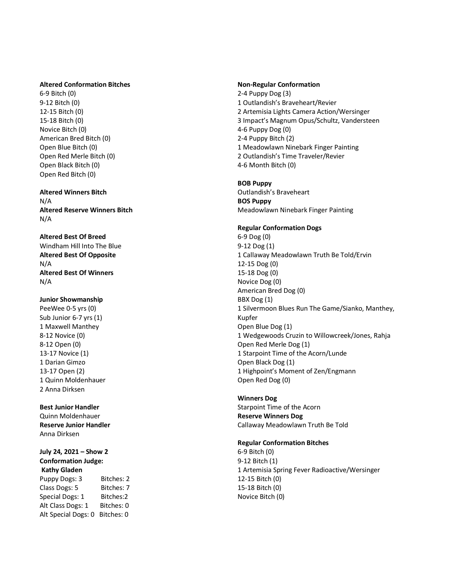## **Altered Conformation Bitches**

6-9 Bitch (0) 9-12 Bitch (0) 12 -15 Bitch (0) 15 -18 Bitch (0) Novice Bitch (0) American Bred Bitch (0) Open Blue Bitch ( 0 ) Open Red Merle Bitch (0) Open Black Bitch ( 0 ) Open Red Bitch (0)

#### **Altered Winners Bitch** N/A

**Altered Reserve Winners Bitch** N/A

### **Altered Best Of Breed** Windham Hill Into The Blue

**Altered Best Of Opposite** N/A **Altered Best Of Winners** N/A

# **Junior Showmanship**

PeeWee 0-5 yrs (0) Sub Junior 6-7 yrs (1) 1 Maxwell Manthey 8-12 Novice (0) 8-12 Open (0) 13 -17 Novice ( 1 ) 1 Darian Gimzo 13 -17 Open ( 2 ) 1 Quinn Moldenhauer 2 Anna Dirksen

# **Best Junior Handler**

Quinn Moldenhauer **Reserve Junior Handler** Anna Dirksen

### **July 24, 2021 – Show 2 Conformation Judge: Kathy Gladen**

Puppy Dogs: 3 Bitches: 2 Class Dogs: 5 Bitches: 7 Special Dogs: 1 Bitches:2 Alt Class Dogs: 1 Bitches: 0 Alt Special Dogs: 0 Bitches: 0

#### **Non -Regular Conformation**

2 -4 Puppy Dog (3) 1 Outlandish's Braveheart/Revier 2 Artemisia Lights Camera Action/Wersinger 3 Impact's Magnum Opus/Schultz, Vandersteen 4-6 Puppy Dog (0) 2-4 Puppy Bitch (2) 1 Meadowlawn Ninebark Finger Painting 2 Outlandish's Time Traveler/Revier 4-6 Month Bitch (0)

## **BOB Puppy**

Outlandish's Braveheart **BOS Puppy** Meadowlawn Ninebark Finger Painting

# **Regular Conformation Dogs**

6-9 Dog (0) 9-12 Dog (1) 1 Callaway Meadowlawn Truth Be Told/Ervin 12 -15 Dog (0) 15 -18 Dog (0) Novice Dog (0) American Bred Dog (0) BBX Dog (1) 1 Silvermoon Blues Run The Game/Sianko, Manthey, Kupfer Open Blue Dog (1) 1 Wedgewoods Cruzin to Willowcreek/Jones, Rahja Open Red Merle Dog ( 1 ) 1 Starpoint Time of the Acorn/Lunde Open Black Dog ( 1 ) 1 Highpoint's Moment of Zen/Engmann Open Red Dog (0)

### **Winners Dog**

Starpoint Time of the Acorn **Reserve Winners Dog** Callaway Meadowlawn Truth Be Told

#### **Regular Conformation Bitches**

6-9 Bitch (0) 9-12 Bitch (1) 1 Artemisia Spring Fever Radioactive/Wersinger 12 -15 Bitch (0) 15 -18 Bitch (0) Novice Bitch (0)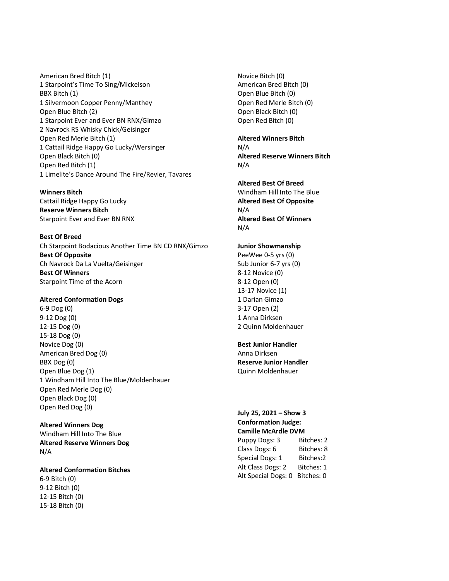American Bred Bitch (1) 1 Starpoint's Time To Sing/Mickelson BBX Bitch (1) 1 Silvermoon Copper Penny/Manthey Open Blue Bitch (2) 1 Starpoint Ever and Ever BN RNX/Gimzo 2 Navrock RS Whisky Chick/Geisinger Open Red Merle Bitch (1) 1 Cattail Ridge Happy Go Lucky/Wersinger Open Black Bitch (0) Open Red Bitch (1) 1 Limelite's Dance Around The Fire/Revier, Tavares

### **Winners Bitch**  Cattail Ridge Happy Go Lucky

**Reserve Winners Bitch** Starpoint Ever and Ever BN RNX

**Best Of Breed** Ch Starpoint Bodacious Another Time BN CD RNX/Gimzo **Best Of Opposite** Ch Navrock Da La Vuelta/Geisinger **Best Of Winners** Starpoint Time of the Acorn

# **Altered Conformation Dogs**

6-9 Dog (0) 9-12 Dog (0) 12-15 Dog (0) 15-18 Dog (0) Novice Dog (0) American Bred Dog (0) BBX Dog (0) Open Blue Dog (1) 1 Windham Hill Into The Blue/Moldenhauer Open Red Merle Dog (0) Open Black Dog (0) Open Red Dog (0)

**Altered Winners Dog** Windham Hill Into The Blue **Altered Reserve Winners Dog** N/A

**Altered Conformation Bitches** 6-9 Bitch (0) 9-12 Bitch (0) 12-15 Bitch (0) 15-18 Bitch (0)

Novice Bitch (0) American Bred Bitch (0) Open Blue Bitch (0) Open Red Merle Bitch (0) Open Black Bitch (0) Open Red Bitch (0)

# **Altered Winners Bitch**

N/A **Altered Reserve Winners Bitch** N/A

**Altered Best Of Breed**

Windham Hill Into The Blue **Altered Best Of Opposite** N/A **Altered Best Of Winners** N/A

# **Junior Showmanship**

PeeWee 0-5 yrs (0) Sub Junior 6-7 yrs (0) 8-12 Novice (0) 8-12 Open (0) 13-17 Novice (1) 1 Darian Gimzo 3-17 Open (2) 1 Anna Dirksen 2 Quinn Moldenhauer

# **Best Junior Handler**

Anna Dirksen **Reserve Junior Handler** Quinn Moldenhauer

# **July 25, 2021 – Show 3 Conformation Judge: Camille McArdle DVM** Puppy Dogs: 3 Bitches: 2 Class Dogs: 6 Bitches: 8 Special Dogs: 1 Bitches: 2 Alt Class Dogs: 2 Bitches: 1 Alt Special Dogs: 0 Bitches: 0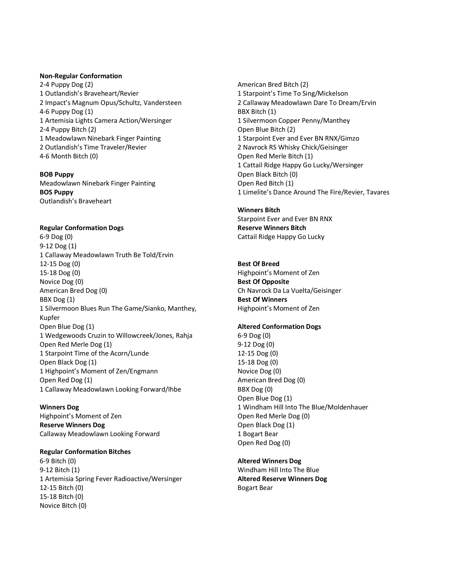### **Non-Regular Conformation**

2-4 Puppy Dog (2) 1 Outlandish's Braveheart/Revier 2 Impact's Magnum Opus/Schultz, Vandersteen 4-6 Puppy Dog (1) 1 Artemisia Lights Camera Action/Wersinger 2-4 Puppy Bitch (2) 1 Meadowlawn Ninebark Finger Painting 2 Outlandish's Time Traveler/Revier 4-6 Month Bitch (0)

**BOB Puppy** Meadowlawn Ninebark Finger Painting **BOS Puppy** Outlandish's Braveheart

## **Regular Conformation Dogs**

6-9 Dog (0) 9-12 Dog (1) 1 Callaway Meadowlawn Truth Be Told/Ervin 12-15 Dog (0) 15-18 Dog (0) Novice Dog (0) American Bred Dog (0) BBX Dog (1) 1 Silvermoon Blues Run The Game/Sianko, Manthey, Kupfer Open Blue Dog (1) 1 Wedgewoods Cruzin to Willowcreek/Jones, Rahja Open Red Merle Dog (1) 1 Starpoint Time of the Acorn/Lunde Open Black Dog (1) 1 Highpoint's Moment of Zen/Engmann Open Red Dog (1) 1 Callaway Meadowlawn Looking Forward/Ihbe

**Winners Dog** Highpoint's Moment of Zen **Reserve Winners Dog** Callaway Meadowlawn Looking Forward

## **Regular Conformation Bitches**

6-9 Bitch (0) 9-12 Bitch (1) 1 Artemisia Spring Fever Radioactive/Wersinger 12-15 Bitch (0) 15-18 Bitch (0) Novice Bitch (0)

American Bred Bitch (2) 1 Starpoint's Time To Sing/Mickelson 2 Callaway Meadowlawn Dare To Dream/Ervin BBX Bitch (1) 1 Silvermoon Copper Penny/Manthey Open Blue Bitch (2) 1 Starpoint Ever and Ever BN RNX/Gimzo 2 Navrock RS Whisky Chick/Geisinger Open Red Merle Bitch (1) 1 Cattail Ridge Happy Go Lucky/Wersinger Open Black Bitch (0) Open Red Bitch (1) 1 Limelite's Dance Around The Fire/Revier, Tavares

**Winners Bitch**  Starpoint Ever and Ever BN RNX **Reserve Winners Bitch** Cattail Ridge Happy Go Lucky

**Best Of Breed** Highpoint's Moment of Zen **Best Of Opposite** Ch Navrock Da La Vuelta/Geisinger **Best Of Winners** Highpoint's Moment of Zen

### **Altered Conformation Dogs**

6-9 Dog (0) 9-12 Dog (0) 12-15 Dog (0) 15-18 Dog (0) Novice Dog (0) American Bred Dog (0) BBX Dog (0) Open Blue Dog (1) 1 Windham Hill Into The Blue/Moldenhauer Open Red Merle Dog (0) Open Black Dog (1) 1 Bogart Bear Open Red Dog (0)

**Altered Winners Dog** Windham Hill Into The Blue **Altered Reserve Winners Dog** Bogart Bear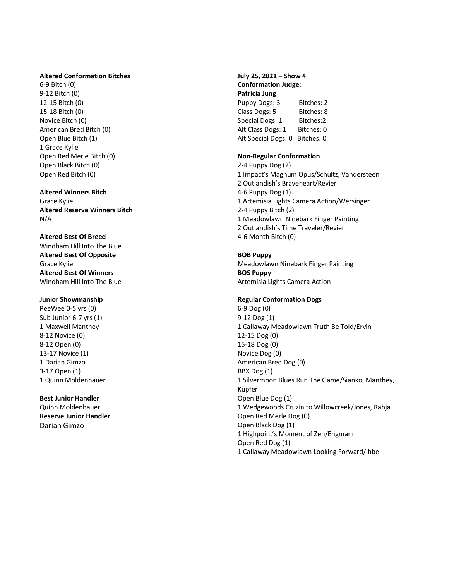#### **Altered Conformation Bitches**

6-9 Bitch (0) 9-12 Bitch (0) 12-15 Bitch (0) 15-18 Bitch (0) Novice Bitch (0) American Bred Bitch (0) Open Blue Bitch (1) 1 Grace Kylie Open Red Merle Bitch (0) Open Black Bitch (0) Open Red Bitch (0)

# **Altered Winners Bitch** Grace Kylie

**Altered Reserve Winners Bitch** N/A

**Altered Best Of Breed** Windham Hill Into The Blue **Altered Best Of Opposite** Grace Kylie **Altered Best Of Winners** Windham Hill Into The Blue

# **Junior Showmanship**

PeeWee 0-5 yrs (0) Sub Junior 6-7 yrs (1) 1 Maxwell Manthey 8-12 Novice (0) 8-12 Open (0) 13-17 Novice (1) 1 Darian Gimzo 3-17 Open (1) 1 Quinn Moldenhauer

**Best Junior Handler** Quinn Moldenhauer **Reserve Junior Handler** Darian Gimzo

**July 25, 2021 – Show 4 Conformation Judge: Patricia Jung** Puppy Dogs: 3 Bitches: 2 Class Dogs: 5 Bitches: 8 Special Dogs: 1 Bitches:2 Alt Class Dogs: 1 Bitches: 0 Alt Special Dogs: 0 Bitches: 0

# **Non-Regular Conformation**

2-4 Puppy Dog (2) 1 Impact's Magnum Opus/Schultz, Vandersteen 2 Outlandish's Braveheart/Revier 4-6 Puppy Dog (1) 1 Artemisia Lights Camera Action/Wersinger 2-4 Puppy Bitch (2) 1 Meadowlawn Ninebark Finger Painting 2 Outlandish's Time Traveler/Revier 4-6 Month Bitch (0)

**BOB Puppy** Meadowlawn Ninebark Finger Painting **BOS Puppy** Artemisia Lights Camera Action

# **Regular Conformation Dogs**

6-9 Dog (0) 9-12 Dog (1) 1 Callaway Meadowlawn Truth Be Told/Ervin 12-15 Dog (0) 15-18 Dog (0) Novice Dog (0) American Bred Dog (0) BBX Dog (1) 1 Silvermoon Blues Run The Game/Sianko, Manthey, Kupfer Open Blue Dog (1) 1 Wedgewoods Cruzin to Willowcreek/Jones, Rahja Open Red Merle Dog (0) Open Black Dog (1) 1 Highpoint's Moment of Zen/Engmann Open Red Dog (1) 1 Callaway Meadowlawn Looking Forward/Ihbe